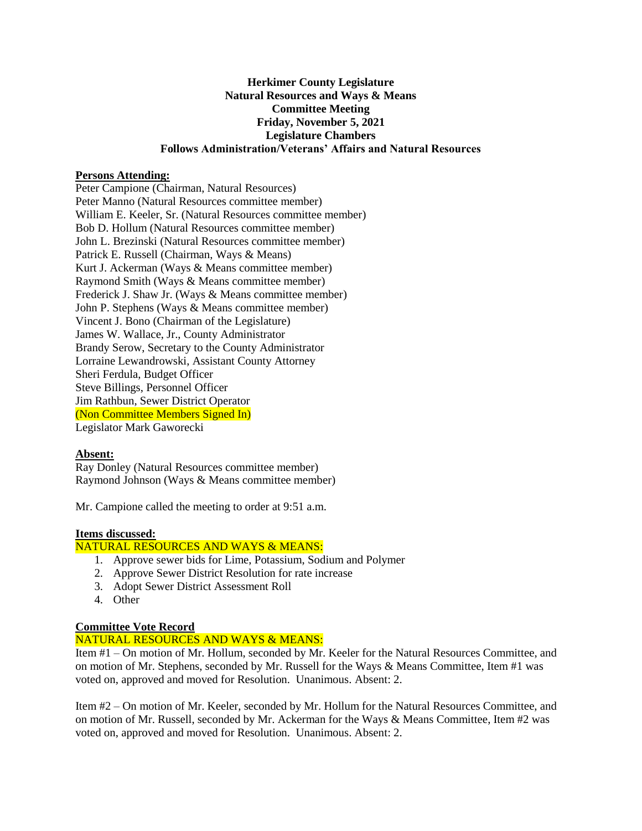# **Herkimer County Legislature Natural Resources and Ways & Means Committee Meeting Friday, November 5, 2021 Legislature Chambers Follows Administration/Veterans' Affairs and Natural Resources**

### **Persons Attending:**

Peter Campione (Chairman, Natural Resources) Peter Manno (Natural Resources committee member) William E. Keeler, Sr. (Natural Resources committee member) Bob D. Hollum (Natural Resources committee member) John L. Brezinski (Natural Resources committee member) Patrick E. Russell (Chairman, Ways & Means) Kurt J. Ackerman (Ways & Means committee member) Raymond Smith (Ways & Means committee member) Frederick J. Shaw Jr. (Ways & Means committee member) John P. Stephens (Ways & Means committee member) Vincent J. Bono (Chairman of the Legislature) James W. Wallace, Jr., County Administrator Brandy Serow, Secretary to the County Administrator Lorraine Lewandrowski, Assistant County Attorney Sheri Ferdula, Budget Officer Steve Billings, Personnel Officer Jim Rathbun, Sewer District Operator (Non Committee Members Signed In) Legislator Mark Gaworecki

### **Absent:**

Ray Donley (Natural Resources committee member) Raymond Johnson (Ways & Means committee member)

Mr. Campione called the meeting to order at 9:51 a.m.

### **Items discussed:**

### NATURAL RESOURCES AND WAYS & MEANS:

- 1. Approve sewer bids for Lime, Potassium, Sodium and Polymer
- 2. Approve Sewer District Resolution for rate increase
- 3. Adopt Sewer District Assessment Roll
- 4. Other

## **Committee Vote Record**

#### NATURAL RESOURCES AND WAYS & MEANS:

Item #1 – On motion of Mr. Hollum, seconded by Mr. Keeler for the Natural Resources Committee, and on motion of Mr. Stephens, seconded by Mr. Russell for the Ways & Means Committee, Item #1 was voted on, approved and moved for Resolution. Unanimous. Absent: 2.

Item #2 – On motion of Mr. Keeler, seconded by Mr. Hollum for the Natural Resources Committee, and on motion of Mr. Russell, seconded by Mr. Ackerman for the Ways & Means Committee, Item #2 was voted on, approved and moved for Resolution. Unanimous. Absent: 2.